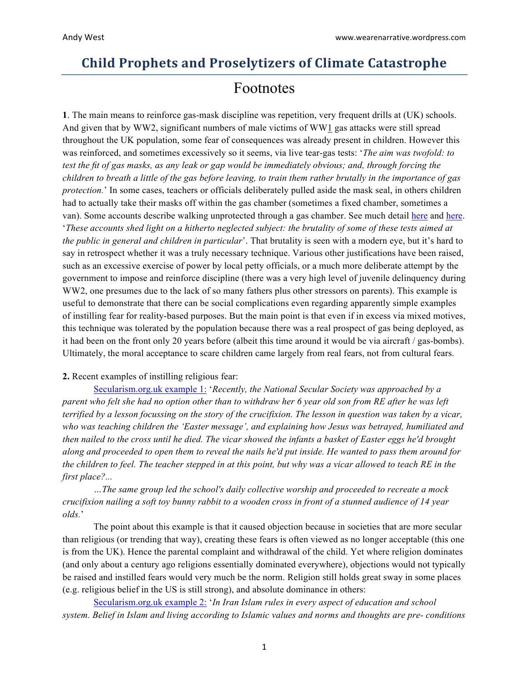# **Child Prophets and Proselytizers of Climate Catastrophe**

# Footnotes

**1**. The main means to reinforce gas-mask discipline was repetition, very frequent drills at (UK) schools. And given that by WW2, significant numbers of male victims of WW1 gas attacks were still spread throughout the UK population, some fear of consequences was already present in children. However this was reinforced, and sometimes excessively so it seems, via live tear-gas tests: '*The aim was twofold: to test the fit of gas masks, as any leak or gap would be immediately obvious; and, through forcing the children to breath a little of the gas before leaving, to train them rather brutally in the importance of gas protection.*' In some cases, teachers or officials deliberately pulled aside the mask seal, in others children had to actually take their masks off within the gas chamber (sometimes a fixed chamber, sometimes a van). Some accounts describe walking unprotected through a gas chamber. See much detail [here](https://onlinelibrary.wiley.com/doi/abs/10.1111/j.1467-9655.2010.01642.x) and [here](https://www.tandfonline.com/doi/abs/10.1080/13623699.2010.512782). '*These accounts shed light on a hitherto neglected subject: the brutality of some of these tests aimed at the public in general and children in particular*'. That brutality is seen with a modern eye, but it's hard to say in retrospect whether it was a truly necessary technique. Various other justifications have been raised, such as an excessive exercise of power by local petty officials, or a much more deliberate attempt by the government to impose and reinforce discipline (there was a very high level of juvenile delinquency during WW2, one presumes due to the lack of so many fathers plus other stressors on parents). This example is useful to demonstrate that there can be social complications even regarding apparently simple examples of instilling fear for reality-based purposes. But the main point is that even if in excess via mixed motives, this technique was tolerated by the population because there was a real prospect of gas being deployed, as it had been on the front only 20 years before (albeit this time around it would be via aircraft / gas-bombs). Ultimately, the moral acceptance to scare children came largely from real fears, not from cultural fears.

## **2.** Recent examples of instilling religious fear:

[Secularism.org.uk](https://www.secularism.org.uk/opinion/2015/04/lets-stop-confusing-education-with-religious-inculcation) example 1: '*Recently, the National Secular Society was approached by a parent who felt she had no option other than to withdraw her 6 year old son from RE after he was left terrified by a lesson focussing on the story of the crucifixion. The lesson in question was taken by a vicar, who was teaching children the 'Easter message', and explaining how Jesus was betrayed, humiliated and then nailed to the cross until he died. The vicar showed the infants a basket of Easter eggs he'd brought along and proceeded to open them to reveal the nails he'd put inside. He wanted to pass them around for the children to feel. The teacher stepped in at this point, but why was a vicar allowed to teach RE in the first place?...*

*…The same group led the school's daily collective worship and proceeded to recreate a mock crucifixion nailing a soft toy bunny rabbit to a wooden cross in front of a stunned audience of 14 year olds.*'

The point about this example is that it caused objection because in societies that are more secular than religious (or trending that way), creating these fears is often viewed as no longer acceptable (this one is from the UK). Hence the parental complaint and withdrawal of the child. Yet where religion dominates (and only about a century ago religions essentially dominated everywhere), objections would not typically be raised and instilled fears would very much be the norm. Religion still holds great sway in some places (e.g. religious belief in the US is still strong), and absolute dominance in others:

[Secularism.org.uk](https://www.secularism.org.uk/33004.html) example 2: '*In Iran Islam rules in every aspect of education and school system. Belief in Islam and living according to Islamic values and norms and thoughts are pre- conditions*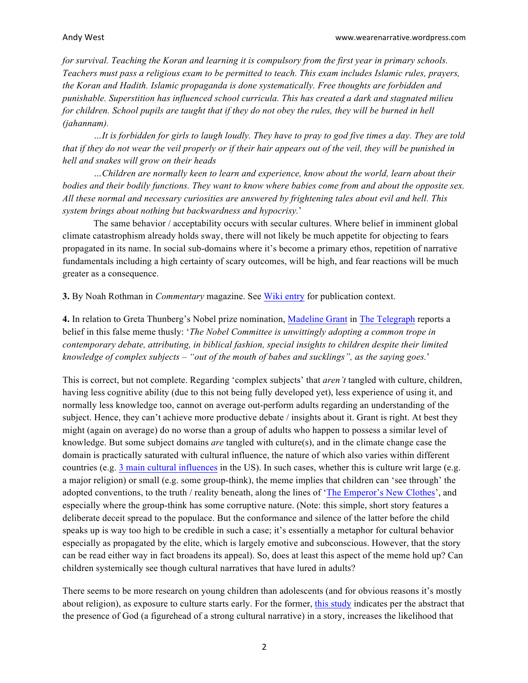*for survival. Teaching the Koran and learning it is compulsory from the first year in primary schools. Teachers must pass a religious exam to be permitted to teach. This exam includes Islamic rules, prayers, the Koran and Hadith. Islamic propaganda is done systematically. Free thoughts are forbidden and punishable. Superstition has influenced school curricula. This has created a dark and stagnated milieu*  for children. School pupils are taught that if they do not obey the rules, they will be burned in hell *(jahannam).*

*…It is forbidden for girls to laugh loudly. They have to pray to god five times a day. They are told that if they do not wear the veil properly or if their hair appears out of the veil, they will be punished in hell and snakes will grow on their heads*

*…Children are normally keen to learn and experience, know about the world, learn about their bodies and their bodily functions. They want to know where babies come from and about the opposite sex. All these normal and necessary curiosities are answered by frightening tales about evil and hell. This system brings about nothing but backwardness and hypocrisy.*'

The same behavior / acceptability occurs with secular cultures. Where belief in imminent global climate catastrophism already holds sway, there will not likely be much appetite for objecting to fears propagated in its name. In social sub-domains where it's become a primary ethos, repetition of narrative fundamentals including a high certainty of scary outcomes, will be high, and fear reactions will be much greater as a consequence.

**3.** By Noah Rothman in *Commentary* magazine. See [Wiki entry](https://en.wikipedia.org/wiki/Commentary_(magazine)) for publication context.

**4.** In relation to Greta Thunberg's Nobel prize nomination, [Madeline Grant](https://uk.linkedin.com/in/madeline-grant-51748744) in [The Telegraph](https://www.telegraph.co.uk/news/2019/03/16/can-please-stop-garlanding-children-wrong/) reports a belief in this false meme thusly: '*The Nobel Committee is unwittingly adopting a common trope in contemporary debate, attributing, in biblical fashion, special insights to children despite their limited knowledge of complex subjects – "out of the mouth of babes and sucklings", as the saying goes.*'

This is correct, but not complete. Regarding 'complex subjects' that *aren't* tangled with culture, children, having less cognitive ability (due to this not being fully developed yet), less experience of using it, and normally less knowledge too, cannot on average out-perform adults regarding an understanding of the subject. Hence, they can't achieve more productive debate / insights about it. Grant is right. At best they might (again on average) do no worse than a group of adults who happen to possess a similar level of knowledge. But some subject domains *are* tangled with culture(s), and in the climate change case the domain is practically saturated with cultural influence, the nature of which also varies within different countries (e.g. [3 main cultural influences](https://curryja.files.wordpress.com/2015/11/who-is-who-aux-file.docx) in the US). In such cases, whether this is culture writ large (e.g. a major religion) or small (e.g. some group-think), the meme implies that children can 'see through' the adopted conventions, to the truth / reality beneath, along the lines of ['The Emperor's New Clothes](https://en.wikipedia.org/wiki/The_Emperor%27s_New_Clothes)', and especially where the group-think has some corruptive nature. (Note: this simple, short story features a deliberate deceit spread to the populace. But the conformance and silence of the latter before the child speaks up is way too high to be credible in such a case; it's essentially a metaphor for cultural behavior especially as propagated by the elite, which is largely emotive and subconscious. However, that the story can be read either way in fact broadens its appeal). So, does at least this aspect of the meme hold up? Can children systemically see though cultural narratives that have lured in adults?

There seems to be more research on young children than adolescents (and for obvious reasons it's mostly about religion), as exposure to culture starts early. For the former, [this study](https://www.ncbi.nlm.nih.gov/pmc/articles/PMC3132388/) indicates per the abstract that the presence of God (a figurehead of a strong cultural narrative) in a story, increases the likelihood that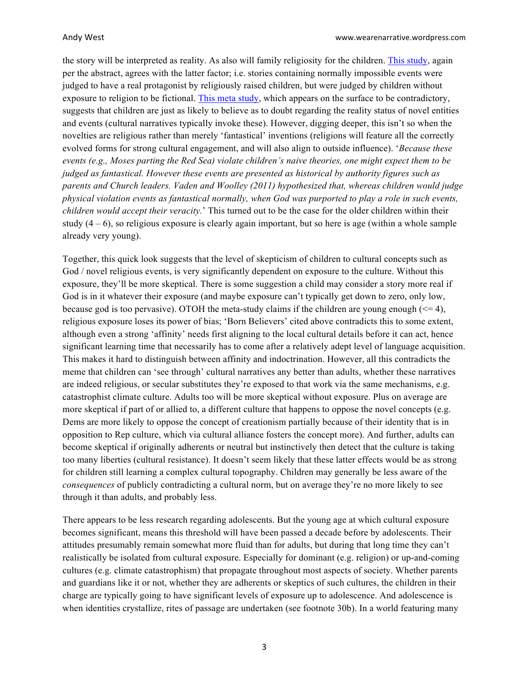the story will be interpreted as reality. As also will family religiosity for the children. [This study](https://www.ncbi.nlm.nih.gov/pubmed/24995520), again per the abstract, agrees with the latter factor; i.e. stories containing normally impossible events were judged to have a real protagonist by religiously raised children, but were judged by children without exposure to religion to be fictional. [This meta study](https://www.ncbi.nlm.nih.gov/pmc/articles/PMC3689871/), which appears on the surface to be contradictory, suggests that children are just as likely to believe as to doubt regarding the reality status of novel entities and events (cultural narratives typically invoke these). However, digging deeper, this isn't so when the novelties are religious rather than merely 'fantastical' inventions (religions will feature all the correctly evolved forms for strong cultural engagement, and will also align to outside influence). '*Because these events (e.g., Moses parting the Red Sea) violate children's naive theories, one might expect them to be judged as fantastical. However these events are presented as historical by authority figures such as parents and Church leaders. Vaden and Woolley (2011) hypothesized that, whereas children would judge physical violation events as fantastical normally, when God was purported to play a role in such events, children would accept their veracity.*' This turned out to be the case for the older children within their study  $(4 - 6)$ , so religious exposure is clearly again important, but so here is age (within a whole sample already very young).

Together, this quick look suggests that the level of skepticism of children to cultural concepts such as God / novel religious events, is very significantly dependent on exposure to the culture. Without this exposure, they'll be more skeptical. There is some suggestion a child may consider a story more real if God is in it whatever their exposure (and maybe exposure can't typically get down to zero, only low, because god is too pervasive). OTOH the meta-study claims if the children are young enough  $(\leq 4)$ , religious exposure loses its power of bias; 'Born Believers' cited above contradicts this to some extent, although even a strong 'affinity' needs first aligning to the local cultural details before it can act, hence significant learning time that necessarily has to come after a relatively adept level of language acquisition. This makes it hard to distinguish between affinity and indoctrination. However, all this contradicts the meme that children can 'see through' cultural narratives any better than adults, whether these narratives are indeed religious, or secular substitutes they're exposed to that work via the same mechanisms, e.g. catastrophist climate culture. Adults too will be more skeptical without exposure. Plus on average are more skeptical if part of or allied to, a different culture that happens to oppose the novel concepts (e.g. Dems are more likely to oppose the concept of creationism partially because of their identity that is in opposition to Rep culture, which via cultural alliance fosters the concept more). And further, adults can become skeptical if originally adherents or neutral but instinctively then detect that the culture is taking too many liberties (cultural resistance). It doesn't seem likely that these latter effects would be as strong for children still learning a complex cultural topography. Children may generally be less aware of the *consequences* of publicly contradicting a cultural norm, but on average they're no more likely to see through it than adults, and probably less.

There appears to be less research regarding adolescents. But the young age at which cultural exposure becomes significant, means this threshold will have been passed a decade before by adolescents. Their attitudes presumably remain somewhat more fluid than for adults, but during that long time they can't realistically be isolated from cultural exposure. Especially for dominant (e.g. religion) or up-and-coming cultures (e.g. climate catastrophism) that propagate throughout most aspects of society. Whether parents and guardians like it or not, whether they are adherents or skeptics of such cultures, the children in their charge are typically going to have significant levels of exposure up to adolescence. And adolescence is when identities crystallize, rites of passage are undertaken (see footnote 30b). In a world featuring many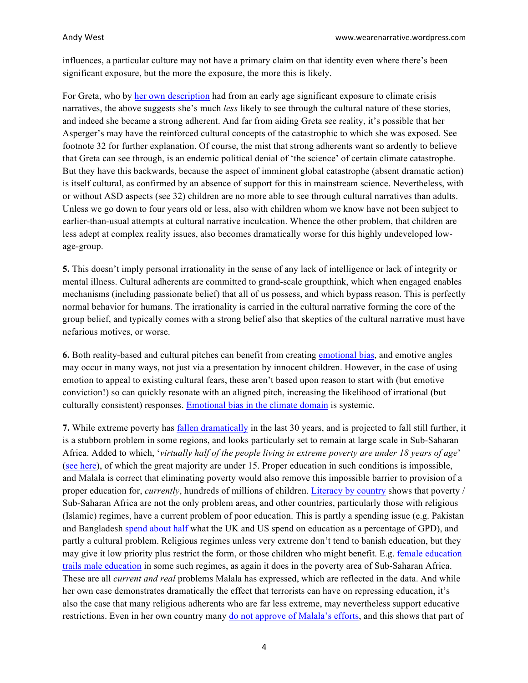influences, a particular culture may not have a primary claim on that identity even where there's been significant exposure, but the more the exposure, the more this is likely.

For Greta, who by [her own description](https://www.theguardian.com/world/2019/mar/11/greta-thunberg-schoolgirl-climate-change-warrior-some-people-can-let-things-go-i-cant) had from an early age significant exposure to climate crisis narratives, the above suggests she's much *less* likely to see through the cultural nature of these stories, and indeed she became a strong adherent. And far from aiding Greta see reality, it's possible that her Asperger's may have the reinforced cultural concepts of the catastrophic to which she was exposed. See footnote 32 for further explanation. Of course, the mist that strong adherents want so ardently to believe that Greta can see through, is an endemic political denial of 'the science' of certain climate catastrophe. But they have this backwards, because the aspect of imminent global catastrophe (absent dramatic action) is itself cultural, as confirmed by an absence of support for this in mainstream science. Nevertheless, with or without ASD aspects (see 32) children are no more able to see through cultural narratives than adults. Unless we go down to four years old or less, also with children whom we know have not been subject to earlier-than-usual attempts at cultural narrative inculcation. Whence the other problem, that children are less adept at complex reality issues, also becomes dramatically worse for this highly undeveloped lowage-group.

**5.** This doesn't imply personal irrationality in the sense of any lack of intelligence or lack of integrity or mental illness. Cultural adherents are committed to grand-scale groupthink, which when engaged enables mechanisms (including passionate belief) that all of us possess, and which bypass reason. This is perfectly normal behavior for humans. The irrationality is carried in the cultural narrative forming the core of the group belief, and typically comes with a strong belief also that skeptics of the cultural narrative must have nefarious motives, or worse.

**6.** Both reality-based and cultural pitches can benefit from creating [emotional bias](https://en.wikipedia.org/wiki/Emotional_bias), and emotive angles may occur in many ways, not just via a presentation by innocent children. However, in the case of using emotion to appeal to existing cultural fears, these aren't based upon reason to start with (but emotive conviction!) so can quickly resonate with an aligned pitch, increasing the likelihood of irrational (but culturally consistent) responses. [Emotional bias in the climate domain](https://judithcurry.com/2015/04/24/contradiction-on-emotional-bias-in-the-climate-domain/) is systemic.

**7.** While extreme poverty has [fallen dramatically](https://ourworldindata.org/extreme-poverty) in the last 30 years, and is projected to fall still further, it is a stubborn problem in some regions, and looks particularly set to remain at large scale in Sub-Saharan Africa. Added to which, '*virtually half of the people living in extreme poverty are under 18 years of age*' [\(see here](https://ourworldindata.org/children-and-poverty-results-from-new-data)), of which the great majority are under 15. Proper education in such conditions is impossible, and Malala is correct that eliminating poverty would also remove this impossible barrier to provision of a proper education for, *currently*, hundreds of millions of children. [Literacy by country](https://ourworldindata.org/grapher/literacy-rate-by-country) shows that poverty / Sub-Saharan Africa are not the only problem areas, and other countries, particularly those with religious (Islamic) regimes, have a current problem of poor education. This is partly a spending issue (e.g. Pakistan and Bangladesh [spend about half](https://ourworldindata.org/grapher/total-government-expenditure-on-education-gdp?time=1971..2016&country=BGD+PAK+GBR+USA) what the UK and US spend on education as a percentage of GPD), and partly a cultural problem. Religious regimes unless very extreme don't tend to banish education, but they may give it low priority plus restrict the form, or those children who might benefit. E.g. [female education](https://ourworldindata.org/grapher/gender-ratios-for-mean-years-of-schooling) [trails male education](https://ourworldindata.org/grapher/gender-ratios-for-mean-years-of-schooling) in some such regimes, as again it does in the poverty area of Sub-Saharan Africa. These are all *current and real* problems Malala has expressed, which are reflected in the data. And while her own case demonstrates dramatically the effect that terrorists can have on repressing education, it's also the case that many religious adherents who are far less extreme, may nevertheless support educative restrictions. Even in her own country many [do not approve of Malala's efforts](https://foreignpolicy.com/2017/08/15/why-pakistan-hates-malala/), and this shows that part of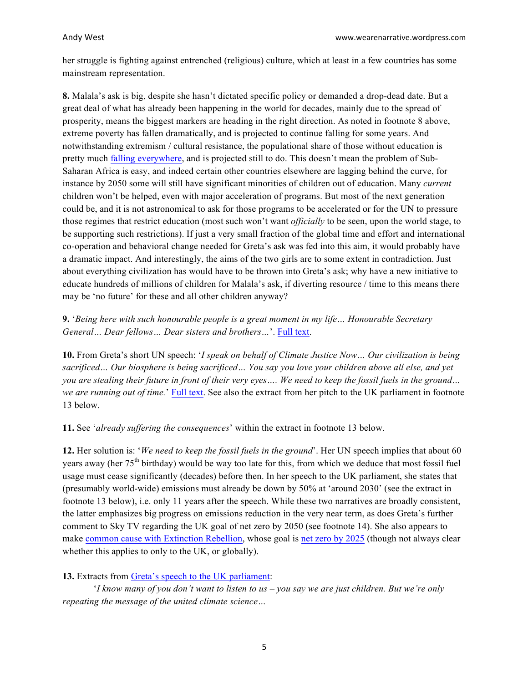her struggle is fighting against entrenched (religious) culture, which at least in a few countries has some mainstream representation.

**8.** Malala's ask is big, despite she hasn't dictated specific policy or demanded a drop-dead date. But a great deal of what has already been happening in the world for decades, mainly due to the spread of prosperity, means the biggest markers are heading in the right direction. As noted in footnote 8 above, extreme poverty has fallen dramatically, and is projected to continue falling for some years. And notwithstanding extremism / cultural resistance, the populational share of those without education is pretty much [falling everywhere](https://ourworldindata.org/grapher/projections-of-the-rate-of-no-education-based-on-current-global-education-trends-1970-2050?country=BGD+BRA+CAF+TCD+CHN+EGY+IND+IDN+NGA+PAK+RUS+GBR+USA), and is projected still to do. This doesn't mean the problem of Sub-Saharan Africa is easy, and indeed certain other countries elsewhere are lagging behind the curve, for instance by 2050 some will still have significant minorities of children out of education. Many *current* children won't be helped, even with major acceleration of programs. But most of the next generation could be, and it is not astronomical to ask for those programs to be accelerated or for the UN to pressure those regimes that restrict education (most such won't want *officially* to be seen, upon the world stage, to be supporting such restrictions). If just a very small fraction of the global time and effort and international co-operation and behavioral change needed for Greta's ask was fed into this aim, it would probably have a dramatic impact. And interestingly, the aims of the two girls are to some extent in contradiction. Just about everything civilization has would have to be thrown into Greta's ask; why have a new initiative to educate hundreds of millions of children for Malala's ask, if diverting resource / time to this means there may be 'no future' for these and all other children anyway?

**9.** '*Being here with such honourable people is a great moment in my life… Honourable Secretary General… Dear fellows… Dear sisters and brothers…*'. [Full text](https://www.un.org/News/dh/infocus/malala_speach.pdf).

**10.** From Greta's short UN speech: '*I speak on behalf of Climate Justice Now… Our civilization is being sacrificed… Our biosphere is being sacrificed… You say you love your children above all else, and yet you are stealing their future in front of their very eyes…. We need to keep the fossil fuels in the ground… we are running out of time.*' [Full text](http://kismetgirls.com/conservationists/Greta_Thunberg). See also the extract from her pitch to the UK parliament in footnote 13 below.

**11.** See '*already suffering the consequences*' within the extract in footnote 13 below.

**12.** Her solution is: '*We need to keep the fossil fuels in the ground*'. Her UN speech implies that about 60 years away (her 75<sup>th</sup> birthday) would be way too late for this, from which we deduce that most fossil fuel usage must cease significantly (decades) before then. In her speech to the UK parliament, she states that (presumably world-wide) emissions must already be down by 50% at 'around 2030' (see the extract in footnote 13 below), i.e. only 11 years after the speech. While these two narratives are broadly consistent, the latter emphasizes big progress on emissions reduction in the very near term, as does Greta's further comment to Sky TV regarding the UK goal of net zero by 2050 (see footnote 14). She also appears to make [common cause with Extinction Rebellion](https://www.commondreams.org/news/2019/04/21/we-are-ones-making-difference-greta-thunberg-addresses-extinction-rebellion-London), whose goal is [net zero by 2025](https://theenergymix.com/2018/11/26/extinction-rebellion-goes-global-with-call-for-net-zero-emission-by-2025/) (though not always clear whether this applies to only to the UK, or globally).

## **13.** Extracts from [Greta's speech to the UK parliament](https://www.theguardian.com/environment/2019/apr/23/greta-thunberg-full-speech-to-mps-you-did-not-act-in-time):

'*I know many of you don't want to listen to us – you say we are just children. But we're only repeating the message of the united climate science…*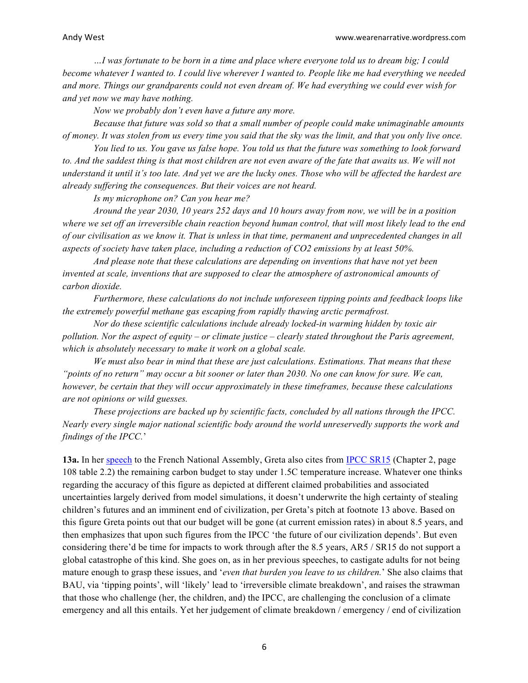*…I was fortunate to be born in a time and place where everyone told us to dream big; I could become whatever I wanted to. I could live wherever I wanted to. People like me had everything we needed and more. Things our grandparents could not even dream of. We had everything we could ever wish for and yet now we may have nothing.*

*Now we probably don't even have a future any more.*

*Because that future was sold so that a small number of people could make unimaginable amounts of money. It was stolen from us every time you said that the sky was the limit, and that you only live once.*

*You lied to us. You gave us false hope. You told us that the future was something to look forward to. And the saddest thing is that most children are not even aware of the fate that awaits us. We will not understand it until it's too late. And yet we are the lucky ones. Those who will be affected the hardest are already suffering the consequences. But their voices are not heard.*

*Is my microphone on? Can you hear me?*

*Around the year 2030, 10 years 252 days and 10 hours away from now, we will be in a position where we set off an irreversible chain reaction beyond human control, that will most likely lead to the end of our civilisation as we know it. That is unless in that time, permanent and unprecedented changes in all aspects of society have taken place, including a reduction of CO2 emissions by at least 50%.*

*And please note that these calculations are depending on inventions that have not yet been invented at scale, inventions that are supposed to clear the atmosphere of astronomical amounts of carbon dioxide.* 

*Furthermore, these calculations do not include unforeseen tipping points and feedback loops like the extremely powerful methane gas escaping from rapidly thawing arctic permafrost.*

*Nor do these scientific calculations include already locked-in warming hidden by toxic air pollution. Nor the aspect of equity – or climate justice – clearly stated throughout the Paris agreement, which is absolutely necessary to make it work on a global scale.*

*We must also bear in mind that these are just calculations. Estimations. That means that these "points of no return" may occur a bit sooner or later than 2030. No one can know for sure. We can, however, be certain that they will occur approximately in these timeframes, because these calculations are not opinions or wild guesses.*

*These projections are backed up by scientific facts, concluded by all nations through the IPCC. Nearly every single major national scientific body around the world unreservedly supports the work and findings of the IPCC.*'

**13a.** In her [speech](https://www.youtube.com/watch?v=nF0aU-5mPyI) to the French National Assembly, Greta also cites from [IPCC SR15](https://www.ipcc.ch/site/assets/uploads/sites/2/2019/05/SR15_Chapter2_Low_Res.pdf) (Chapter 2, page 108 table 2.2) the remaining carbon budget to stay under 1.5C temperature increase. Whatever one thinks regarding the accuracy of this figure as depicted at different claimed probabilities and associated uncertainties largely derived from model simulations, it doesn't underwrite the high certainty of stealing children's futures and an imminent end of civilization, per Greta's pitch at footnote 13 above. Based on this figure Greta points out that our budget will be gone (at current emission rates) in about 8.5 years, and then emphasizes that upon such figures from the IPCC 'the future of our civilization depends'. But even considering there'd be time for impacts to work through after the 8.5 years, AR5 / SR15 do not support a global catastrophe of this kind. She goes on, as in her previous speeches, to castigate adults for not being mature enough to grasp these issues, and '*even that burden you leave to us children.*' She also claims that BAU, via 'tipping points', will 'likely' lead to 'irreversible climate breakdown', and raises the strawman that those who challenge (her, the children, and) the IPCC, are challenging the conclusion of a climate emergency and all this entails. Yet her judgement of climate breakdown / emergency / end of civilization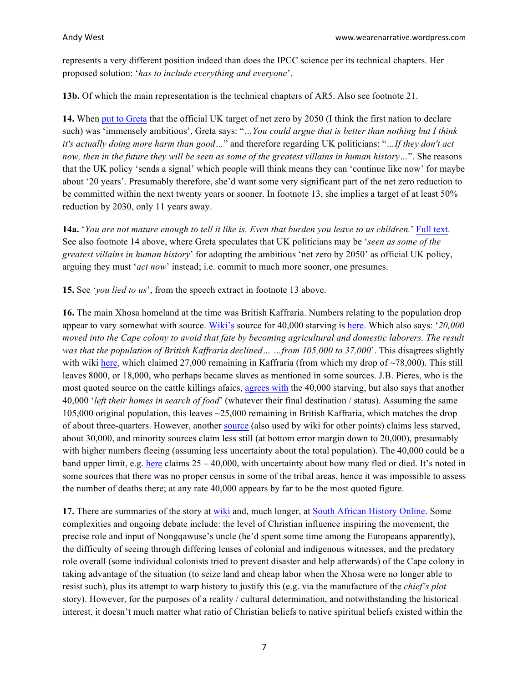represents a very different position indeed than does the IPCC science per its technical chapters. Her proposed solution: '*has to include everything and everyone*'.

**13b.** Of which the main representation is the technical chapters of AR5. Also see footnote 21.

**14.** When [put to Greta](https://news.sky.com/story/uk-carbon-emissions-target-doing-more-harm-than-good-teen-climate-activist-greta-thunberg-tells-sky-news-11764916) that the official UK target of net zero by 2050 (I think the first nation to declare such) was 'immensely ambitious', Greta says: "*…You could argue that is better than nothing but I think it's actually doing more harm than good…*" and therefore regarding UK politicians: "*…If they don't act now, then in the future they will be seen as some of the greatest villains in human history…*". She reasons that the UK policy 'sends a signal' which people will think means they can 'continue like now' for maybe about '20 years'. Presumably therefore, she'd want some very significant part of the net zero reduction to be committed within the next twenty years or sooner. In footnote 13, she implies a target of at least 50% reduction by 2030, only 11 years away.

**14a.** '*You are not mature enough to tell it like is. Even that burden you leave to us children.*' [Full text](http://kismetgirls.com/conservationists/Greta_Thunberg). See also footnote 14 above, where Greta speculates that UK politicians may be '*seen as some of the greatest villains in human history*' for adopting the ambitious 'net zero by 2050' as official UK policy, arguing they must '*act now*' instead; i.e. commit to much more sooner, one presumes.

**15.** See '*you lied to us*', from the speech extract in footnote 13 above.

**16.** The main Xhosa homeland at the time was British Kaffraria. Numbers relating to the population drop appear to vary somewhat with source. [Wiki's](https://en.wikipedia.org/wiki/Nongqawuse) source for 40,000 starving is [here](https://www.amazon.com/Making-Empire-Colonial-Encounters-Nineteenth-Century/dp/0521889685/). Which also says: '*20,000 moved into the Cape colony to avoid that fate by becoming agricultural and domestic laborers. The result was that the population of British Kaffraria declined… …from 105,000 to 37,000*'. This disagrees slightly with wiki [here](https://en.wikipedia.org/wiki/Nongqawuse), which claimed 27,000 remaining in Kaffraria (from which my drop of ~78,000). This still leaves 8000, or 18,000, who perhaps became slaves as mentioned in some sources. J.B. Pieres, who is the most quoted source on the cattle killings afaics, [agrees with](http://smu-facweb.smu.ca/~wmills/course322/Central_Beliefs_Cattle_Killing.pdf) the 40,000 starving, but also says that another 40,000 '*left their homes in search of food*' (whatever their final destination / status). Assuming the same 105,000 original population, this leaves ~25,000 remaining in British Kaffraria, which matches the drop of about three-quarters. However, another [source](https://www.tandfonline.com/doi/abs/10.1080/02582479108671959) (also used by wiki for other points) claims less starved, about 30,000, and minority sources claim less still (at bottom error margin down to 20,000), presumably with higher numbers fleeing (assuming less uncertainty about the total population). The 40,000 could be a band upper limit, e.g. [here](https://www.jstor.org/stable/25065169?seq=1#page_scan_tab_contents) claims 25 – 40,000, with uncertainty about how many fled or died. It's noted in some sources that there was no proper census in some of the tribal areas, hence it was impossible to assess the number of deaths there; at any rate 40,000 appears by far to be the most quoted figure.

**17.** There are summaries of the story at [wiki](https://en.wikipedia.org/wiki/History_of_the_Cape_Colony_from_1806_to_1870#Xhosa_cattle-killing_movement_and_famine_(1854-1858)) and, much longer, at [South African History Online](https://www.sahistory.org.za/article/cattle-killing-movement). Some complexities and ongoing debate include: the level of Christian influence inspiring the movement, the precise role and input of Nongqawuse's uncle (he'd spent some time among the Europeans apparently), the difficulty of seeing through differing lenses of colonial and indigenous witnesses, and the predatory role overall (some individual colonists tried to prevent disaster and help afterwards) of the Cape colony in taking advantage of the situation (to seize land and cheap labor when the Xhosa were no longer able to resist such), plus its attempt to warp history to justify this (e.g. via the manufacture of the *chief's plot* story). However, for the purposes of a reality / cultural determination, and notwithstanding the historical interest, it doesn't much matter what ratio of Christian beliefs to native spiritual beliefs existed within the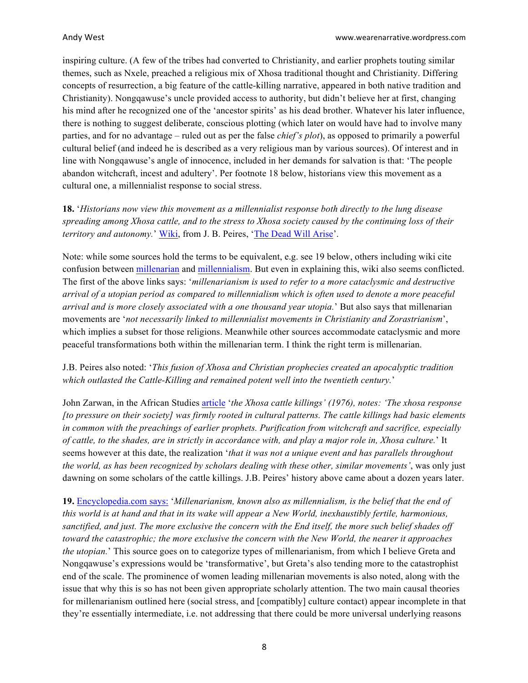inspiring culture. (A few of the tribes had converted to Christianity, and earlier prophets touting similar themes, such as Nxele, preached a religious mix of Xhosa traditional thought and Christianity. Differing concepts of resurrection, a big feature of the cattle-killing narrative, appeared in both native tradition and Christianity). Nongqawuse's uncle provided access to authority, but didn't believe her at first, changing his mind after he recognized one of the 'ancestor spirits' as his dead brother. Whatever his later influence, there is nothing to suggest deliberate, conscious plotting (which later on would have had to involve many parties, and for no advantage – ruled out as per the false *chief's plot*), as opposed to primarily a powerful cultural belief (and indeed he is described as a very religious man by various sources). Of interest and in line with Nongqawuse's angle of innocence, included in her demands for salvation is that: 'The people abandon witchcraft, incest and adultery'. Per footnote 18 below, historians view this movement as a cultural one, a millennialist response to social stress.

**18.** '*Historians now view this movement as a millennialist response both directly to the lung disease spreading among Xhosa cattle, and to the stress to Xhosa society caused by the continuing loss of their territory and autonomy.*' [Wiki](https://en.wikipedia.org/wiki/History_of_the_Cape_Colony_from_1806_to_1870#Xhosa_cattle-killing_movement_and_famine_(1854-1858)), from J. B. Peires, ['The Dead Will Arise](https://www.amazon.com/Dead-Will-Arise-Nongqawuse-Cattle-Killing/dp/0253205247/)'.

Note: while some sources hold the terms to be equivalent, e.g. see 19 below, others including wiki cite confusion between [millenarian](https://en.wikipedia.org/wiki/Millenarianism) and [millennialism](https://en.wikipedia.org/wiki/Millennialism). But even in explaining this, wiki also seems conflicted. The first of the above links says: '*millenarianism is used to refer to a more cataclysmic and destructive arrival of a utopian period as compared to millennialism which is often used to denote a more peaceful arrival and is more closely associated with a one thousand year utopia.*' But also says that millenarian movements are '*not necessarily linked to millennialist movements in Christianity and Zorastrianism*', which implies a subset for those religions. Meanwhile other sources accommodate cataclysmic and more peaceful transformations both within the millenarian term. I think the right term is millenarian.

# J.B. Peires also noted: '*This fusion of Xhosa and Christian prophecies created an apocalyptic tradition which outlasted the Cattle-Killing and remained potent well into the twentieth century.*'

John Zarwan, in the African Studies [article](https://www.persee.fr/doc/cea_0008-0055_1976_num_16_63_2513) '*the Xhosa cattle killings' (1976), notes: 'The xhosa response [to pressure on their society] was firmly rooted in cultural patterns. The cattle killings had basic elements in common with the preachings of earlier prophets. Purification from witchcraft and sacrifice, especially of cattle, to the shades, are in strictly in accordance with, and play a major role in, Xhosa culture.*' It seems however at this date, the realization '*that it was not a unique event and has parallels throughout the world, as has been recognized by scholars dealing with these other, similar movements'*, was only just dawning on some scholars of the cattle killings. J.B. Peires' history above came about a dozen years later.

**19.** [Encyclopedia.com says:](https://www.encyclopedia.com/environment/encyclopedias-almanacs-transcripts-and-maps/millenarianism-overview) '*Millenarianism, known also as millennialism, is the belief that the end of this world is at hand and that in its wake will appear a New World, inexhaustibly fertile, harmonious, sanctified, and just. The more exclusive the concern with the End itself, the more such belief shades off toward the catastrophic; the more exclusive the concern with the New World, the nearer it approaches the utopian.*' This source goes on to categorize types of millenarianism, from which I believe Greta and Nongqawuse's expressions would be 'transformative', but Greta's also tending more to the catastrophist end of the scale. The prominence of women leading millenarian movements is also noted, along with the issue that why this is so has not been given appropriate scholarly attention. The two main causal theories for millenarianism outlined here (social stress, and [compatibly] culture contact) appear incomplete in that they're essentially intermediate, i.e. not addressing that there could be more universal underlying reasons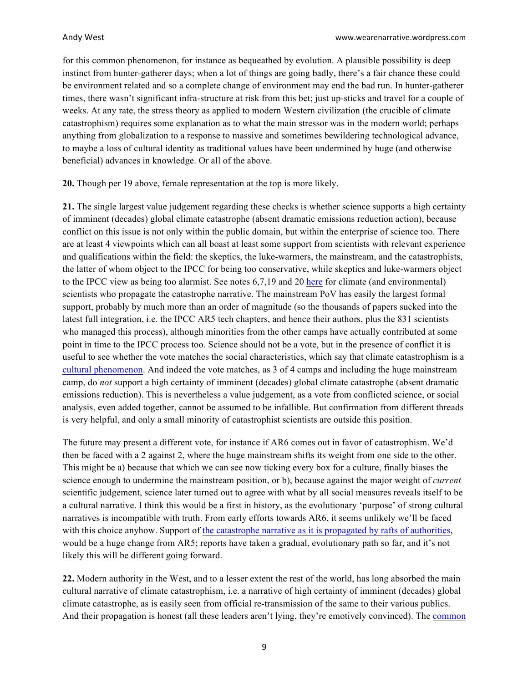for this common phenomenon, for instance as bequeathed by evolution. A plausible possibility is deep instinct from hunter-gatherer days; when a lot of things are going badly, there's a fair chance these could be environment related and so a complete change of environment may end the bad run. In hunter-gatherer times, there wasn't significant infra-structure at risk from this bet; just up-sticks and travel for a couple of weeks. At any rate, the stress theory as applied to modern Western civilization (the crucible of climate catastrophism) requires some explanation as to what the main stressor was in the modern world; perhaps anything from globalization to a response to massive and sometimes bewildering technological advance, to maybe a loss of cultural identity as traditional values have been undermined by huge (and otherwise beneficial) advances in knowledge. Or all of the above.

**20.** Though per 19 above, female representation at the top is more likely.

**21.** The single largest value judgement regarding these checks is whether science supports a high certainty of imminent (decades) global climate catastrophe (absent dramatic emissions reduction action), because conflict on this issue is not only within the public domain, but within the enterprise of science too. There are at least 4 viewpoints which can all boast at least some support from scientists with relevant experience and qualifications within the field: the skeptics, the luke-warmers, the mainstream, and the catastrophists, the latter of whom object to the IPCC for being too conservative, while skeptics and luke-warmers object to the IPCC view as being too alarmist. See notes 6,7,19 and 20 [here](https://curryja.files.wordpress.com/2018/11/footnotes1.pdf) for climate (and environmental) scientists who propagate the catastrophe narrative. The mainstream PoV has easily the largest formal support, probably by much more than an order of magnitude (so the thousands of papers sucked into the latest full integration, i.e. the IPCC AR5 tech chapters, and hence their authors, plus the 831 scientists who managed this process), although minorities from the other camps have actually contributed at some point in time to the IPCC process too. Science should not be a vote, but in the presence of conflict it is useful to see whether the vote matches the social characteristics, which say that climate catastrophism is a [cultural phenomenon](https://judithcurry.com/2015/11/20/climate-culture/). And indeed the vote matches, as 3 of 4 camps and including the huge mainstream camp, do *not* support a high certainty of imminent (decades) global climate catastrophe (absent dramatic emissions reduction). This is nevertheless a value judgement, as a vote from conflicted science, or social analysis, even added together, cannot be assumed to be infallible. But confirmation from different threads is very helpful, and only a small minority of catastrophist scientists are outside this position.

The future may present a different vote, for instance if AR6 comes out in favor of catastrophism. We'd then be faced with a 2 against 2, where the huge mainstream shifts its weight from one side to the other. This might be a) because that which we can see now ticking every box for a culture, finally biases the science enough to undermine the mainstream position, or b), because against the major weight of *current* scientific judgement, science later turned out to agree with what by all social measures reveals itself to be a cultural narrative. I think this would be a first in history, as the evolutionary 'purpose' of strong cultural narratives is incompatible with truth. From early efforts towards AR6, it seems unlikely we'll be faced with this choice anyhow. Support of [the catastrophe narrative as it is propagated by rafts of authorities](https://judithcurry.com/2018/11/14/the-catastrophe-narrative/), would be a huge change from AR5; reports have taken a gradual, evolutionary path so far, and it's not likely this will be different going forward.

**22.** Modern authority in the West, and to a lesser extent the rest of the world, has long absorbed the main cultural narrative of climate catastrophism, i.e. a narrative of high certainty of imminent (decades) global climate catastrophe, as is easily seen from official re-transmission of the same to their various publics. And their propagation is honest (all these leaders aren't lying, they're emotively convinced). The [common](https://curryja.files.wordpress.com/2018/11/footnotes.pdf)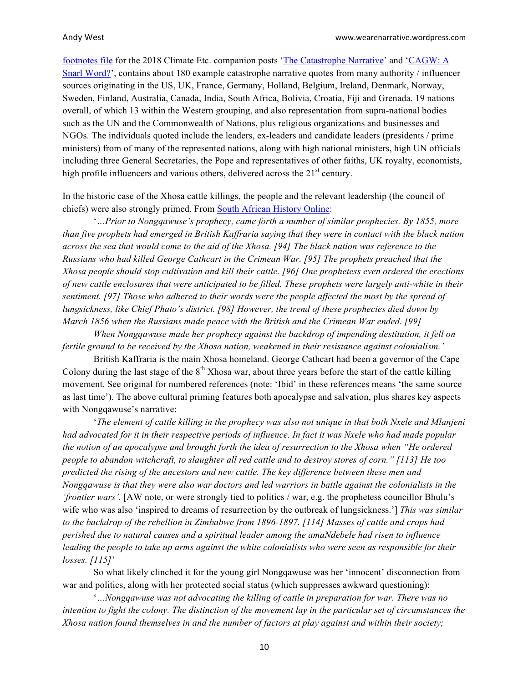[footnotes file](https://curryja.files.wordpress.com/2018/11/footnotes.pdf) for the 2018 Climate Etc. companion posts ['The Catastrophe Narrative](https://judithcurry.com/2018/11/14/the-catastrophe-narrative/)' and ['CAGW: A](https://judithcurry.com/2018/11/26/cagw-a-snarl-word/) [Snarl Word?](https://judithcurry.com/2018/11/26/cagw-a-snarl-word/)', contains about 180 example catastrophe narrative quotes from many authority / influencer sources originating in the US, UK, France, Germany, Holland, Belgium, Ireland, Denmark, Norway, Sweden, Finland, Australia, Canada, India, South Africa, Bolivia, Croatia, Fiji and Grenada. 19 nations overall, of which 13 within the Western grouping, and also representation from supra-national bodies such as the UN and the Commonwealth of Nations, plus religious organizations and businesses and NGOs. The individuals quoted include the leaders, ex-leaders and candidate leaders (presidents / prime ministers) from of many of the represented nations, along with high national ministers, high UN officials including three General Secretaries, the Pope and representatives of other faiths, UK royalty, economists, high profile influencers and various others, delivered across the  $21<sup>st</sup>$  century.

In the historic case of the Xhosa cattle killings, the people and the relevant leadership (the council of chiefs) were also strongly primed. From [South African History Online](https://www.sahistory.org.za/article/cattle-killing-movement):

'*…Prior to Nongqawuse's prophecy, came forth a number of similar prophecies. By 1855, more than five prophets had emerged in British Kaffraria saying that they were in contact with the black nation across the sea that would come to the aid of the Xhosa. [94] The black nation was reference to the Russians who had killed George Cathcart in the Crimean War. [95] The prophets preached that the Xhosa people should stop cultivation and kill their cattle. [96] One prophetess even ordered the erections of new cattle enclosures that were anticipated to be filled. These prophets were largely anti-white in their sentiment. [97] Those who adhered to their words were the people affected the most by the spread of lungsickness, like Chief Phato's district. [98] However, the trend of these prophecies died down by March 1856 when the Russians made peace with the British and the Crimean War ended. [99]*

*When Nongqawuse made her prophecy against the backdrop of impending destitution, it fell on fertile ground to be received by the Xhosa nation, weakened in their resistance against colonialism.'*

British Kaffraria is the main Xhosa homeland. George Cathcart had been a governor of the Cape Colony during the last stage of the  $8<sup>th</sup>$  Xhosa war, about three years before the start of the cattle killing movement. See original for numbered references (note: 'Ibid' in these references means 'the same source as last time'). The above cultural priming features both apocalypse and salvation, plus shares key aspects with Nongqawuse's narrative:

'*The element of cattle killing in the prophecy was also not unique in that both Nxele and Mlanjeni had advocated for it in their respective periods of influence. In fact it was Nxele who had made popular the notion of an apocalypse and brought forth the idea of resurrection to the Xhosa when "He ordered people to abandon witchcraft, to slaughter all red cattle and to destroy stores of corn." [113] He too predicted the rising of the ancestors and new cattle. The key difference between these men and Nongqawuse is that they were also war doctors and led warriors in battle against the colonialists in the 'frontier wars'.* [AW note, or were strongly tied to politics / war, e.g. the prophetess councillor Bhulu's wife who was also 'inspired to dreams of resurrection by the outbreak of lungsickness.'] *This was similar to the backdrop of the rebellion in Zimbabwe from 1896-1897. [114] Masses of cattle and crops had perished due to natural causes and a spiritual leader among the amaNdebele had risen to influence leading the people to take up arms against the white colonialists who were seen as responsible for their losses. [115]*'

So what likely clinched it for the young girl Nongqawuse was her 'innocent' disconnection from war and politics, along with her protected social status (which suppresses awkward questioning):

'*…Nongqawuse was not advocating the killing of cattle in preparation for war. There was no intention to fight the colony. The distinction of the movement lay in the particular set of circumstances the Xhosa nation found themselves in and the number of factors at play against and within their society;*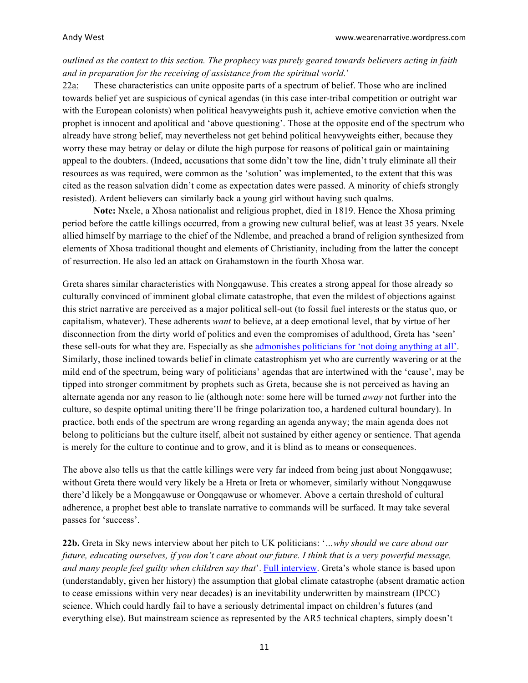*outlined as the context to this section. The prophecy was purely geared towards believers acting in faith and in preparation for the receiving of assistance from the spiritual world.*'

22a: These characteristics can unite opposite parts of a spectrum of belief. Those who are inclined towards belief yet are suspicious of cynical agendas (in this case inter-tribal competition or outright war with the European colonists) when political heavyweights push it, achieve emotive conviction when the prophet is innocent and apolitical and 'above questioning'. Those at the opposite end of the spectrum who already have strong belief, may nevertheless not get behind political heavyweights either, because they worry these may betray or delay or dilute the high purpose for reasons of political gain or maintaining appeal to the doubters. (Indeed, accusations that some didn't tow the line, didn't truly eliminate all their resources as was required, were common as the 'solution' was implemented, to the extent that this was cited as the reason salvation didn't come as expectation dates were passed. A minority of chiefs strongly resisted). Ardent believers can similarly back a young girl without having such qualms.

**Note:** Nxele, a Xhosa nationalist and religious prophet, died in 1819. Hence the Xhosa priming period before the cattle killings occurred, from a growing new cultural belief, was at least 35 years. Nxele allied himself by marriage to the chief of the Ndlembe, and preached a brand of religion synthesized from elements of Xhosa traditional thought and elements of Christianity, including from the latter the concept of resurrection. He also led an attack on Grahamstown in the fourth Xhosa war.

Greta shares similar characteristics with Nongqawuse. This creates a strong appeal for those already so culturally convinced of imminent global climate catastrophe, that even the mildest of objections against this strict narrative are perceived as a major political sell-out (to fossil fuel interests or the status quo, or capitalism, whatever). These adherents *want* to believe, at a deep emotional level, that by virtue of her disconnection from the dirty world of politics and even the compromises of adulthood, Greta has 'seen' these sell-outs for what they are. Especially as she admonishes [politicians for 'not doing anything at all'](https://www.theguardian.com/global/video/2019/apr/22/we-will-never-stop-fighting-greta-thunberg-addresses-london-climate-protests-video). Similarly, those inclined towards belief in climate catastrophism yet who are currently wavering or at the mild end of the spectrum, being wary of politicians' agendas that are intertwined with the 'cause', may be tipped into stronger commitment by prophets such as Greta, because she is not perceived as having an alternate agenda nor any reason to lie (although note: some here will be turned *away* not further into the culture, so despite optimal uniting there'll be fringe polarization too, a hardened cultural boundary). In practice, both ends of the spectrum are wrong regarding an agenda anyway; the main agenda does not belong to politicians but the culture itself, albeit not sustained by either agency or sentience. That agenda is merely for the culture to continue and to grow, and it is blind as to means or consequences.

The above also tells us that the cattle killings were very far indeed from being just about Nongqawuse; without Greta there would very likely be a Hreta or Ireta or whomever, similarly without Nongqawuse there'd likely be a Mongqawuse or Oongqawuse or whomever. Above a certain threshold of cultural adherence, a prophet best able to translate narrative to commands will be surfaced. It may take several passes for 'success'.

**22b.** Greta in Sky news interview about her pitch to UK politicians: '*…why should we care about our future, educating ourselves, if you don't care about our future. I think that is a very powerful message, and many people feel guilty when children say that*'. [Full interview](https://news.sky.com/story/uk-carbon-emissions-target-doing-more-harm-than-good-teen-climate-activist-greta-thunberg-tells-sky-news-11764916). Greta's whole stance is based upon (understandably, given her history) the assumption that global climate catastrophe (absent dramatic action to cease emissions within very near decades) is an inevitability underwritten by mainstream (IPCC) science. Which could hardly fail to have a seriously detrimental impact on children's futures (and everything else). But mainstream science as represented by the AR5 technical chapters, simply doesn't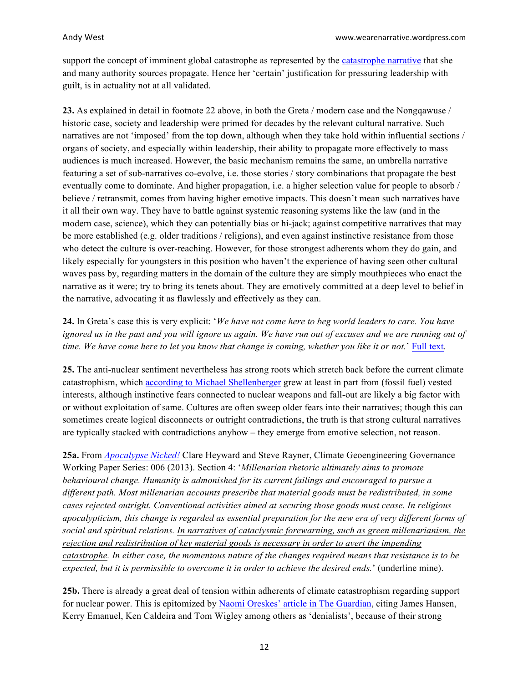support the concept of imminent global catastrophe as represented by the [catastrophe narrative](https://judithcurry.com/2018/11/14/the-catastrophe-narrative/) that she and many authority sources propagate. Hence her 'certain' justification for pressuring leadership with guilt, is in actuality not at all validated.

**23.** As explained in detail in footnote 22 above, in both the Greta / modern case and the Nongqawuse / historic case, society and leadership were primed for decades by the relevant cultural narrative. Such narratives are not 'imposed' from the top down, although when they take hold within influential sections / organs of society, and especially within leadership, their ability to propagate more effectively to mass audiences is much increased. However, the basic mechanism remains the same, an umbrella narrative featuring a set of sub-narratives co-evolve, i.e. those stories / story combinations that propagate the best eventually come to dominate. And higher propagation, i.e. a higher selection value for people to absorb / believe / retransmit, comes from having higher emotive impacts. This doesn't mean such narratives have it all their own way. They have to battle against systemic reasoning systems like the law (and in the modern case, science), which they can potentially bias or hi-jack; against competitive narratives that may be more established (e.g. older traditions / religions), and even against instinctive resistance from those who detect the culture is over-reaching. However, for those strongest adherents whom they do gain, and likely especially for youngsters in this position who haven't the experience of having seen other cultural waves pass by, regarding matters in the domain of the culture they are simply mouthpieces who enact the narrative as it were; try to bring its tenets about. They are emotively committed at a deep level to belief in the narrative, advocating it as flawlessly and effectively as they can.

# **24.** In Greta's case this is very explicit: '*We have not come here to beg world leaders to care. You have ignored us in the past and you will ignore us again. We have run out of excuses and we are running out of time. We have come here to let you know that change is coming, whether you like it or not.*' [Full text](http://kismetgirls.com/conservationists/Greta_Thunberg).

**25.** The anti-nuclear sentiment nevertheless has strong roots which stretch back before the current climate catastrophism, which [according to Michael Shellenberger](https://www.forbes.com/sites/michaelshellenberger/2019/03/28/the-dirty-secret-of-renewables-advocates-is-that-they-protect-fossil-fuel-interests-not-the-climate/#3691b1391b07) grew at least in part from (fossil fuel) vested interests, although instinctive fears connected to nuclear weapons and fall-out are likely a big factor with or without exploitation of same. Cultures are often sweep older fears into their narratives; though this can sometimes create logical disconnects or outright contradictions, the truth is that strong cultural narratives are typically stacked with contradictions anyhow – they emerge from emotive selection, not reason.

**25a.** From *[Apocalypse Nicked!](http://geoengineering-governance-research.org/perch/resources/workingpaper6heywardraynerapocalypsenicked.pdf)* Clare Heyward and Steve Rayner, Climate Geoengineering Governance Working Paper Series: 006 (2013). Section 4: '*Millenarian rhetoric ultimately aims to promote behavioural change. Humanity is admonished for its current failings and encouraged to pursue a different path. Most millenarian accounts prescribe that material goods must be redistributed, in some cases rejected outright. Conventional activities aimed at securing those goods must cease. In religious apocalypticism, this change is regarded as essential preparation for the new era of very different forms of social and spiritual relations. In narratives of cataclysmic forewarning, such as green millenarianism, the rejection and redistribution of key material goods is necessary in order to avert the impending catastrophe. In either case, the momentous nature of the changes required means that resistance is to be expected, but it is permissible to overcome it in order to achieve the desired ends.*' (underline mine).

**25b.** There is already a great deal of tension within adherents of climate catastrophism regarding support for nuclear power. This is epitomized by Naomi Oreskes' [article in The Guardian](https://www.theguardian.com/commentisfree/2015/dec/16/new-form-climate-denialism-dont-celebrate-yet-cop-21), citing James Hansen, Kerry Emanuel, Ken Caldeira and Tom Wigley among others as 'denialists', because of their strong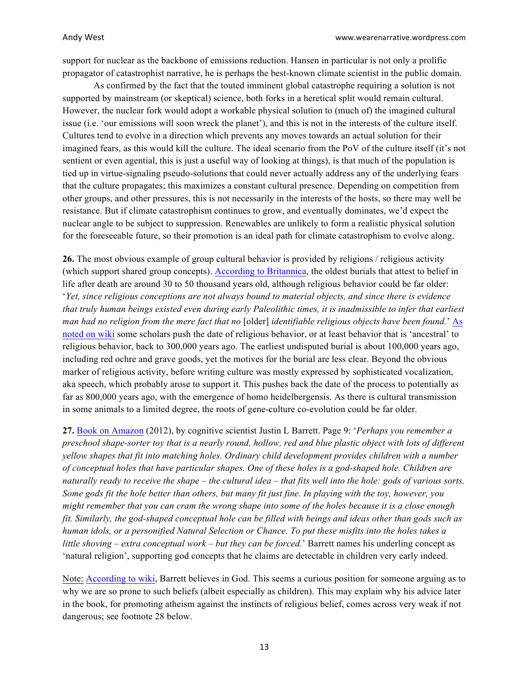support for nuclear as the backbone of emissions reduction. Hansen in particular is not only a prolific propagator of catastrophist narrative, he is perhaps the best-known climate scientist in the public domain.

As confirmed by the fact that the touted imminent global catastrophe requiring a solution is not supported by mainstream (or skeptical) science, both forks in a heretical split would remain cultural. However, the nuclear fork would adopt a workable physical solution to (much of) the imagined cultural issue (i.e. 'our emissions will soon wreck the planet'), and this is not in the interests of the culture itself. Cultures tend to evolve in a direction which prevents any moves towards an actual solution for their imagined fears, as this would kill the culture. The ideal scenario from the PoV of the culture itself (it's not sentient or even agential, this is just a useful way of looking at things), is that much of the population is tied up in virtue-signaling pseudo-solutions that could never actually address any of the underlying fears that the culture propagates; this maximizes a constant cultural presence. Depending on competition from other groups, and other pressures, this is not necessarily in the interests of the hosts, so there may well be resistance. But if climate catastrophism continues to grow, and eventually dominates, we'd expect the nuclear angle to be subject to suppression. Renewables are unlikely to form a realistic physical solution for the foreseeable future, so their promotion is an ideal path for climate catastrophism to evolve along.

**26.** The most obvious example of group cultural behavior is provided by religions / religious activity (which support shared group concepts). [According to Britannica](https://www.britannica.com/topic/prehistoric-religion#ref52336), the oldest burials that attest to belief in life after death are around 30 to 50 thousand years old, although religious behavior could be far older: '*Yet, since religious conceptions are not always bound to material objects, and since there is evidence that truly human beings existed even during early Paleolithic times, it is inadmissible to infer that earliest man had no religion from the mere fact that no* [older] *identifiable religious objects have been found.*' [As](https://en.wikipedia.org/wiki/Paleolithic_religion) [noted on wiki](https://en.wikipedia.org/wiki/Paleolithic_religion) some scholars push the date of religious behavior, or at least behavior that is 'ancestral' to religious behavior, back to 300,000 years ago. The earliest undisputed burial is about 100,000 years ago, including red ochre and grave goods, yet the motives for the burial are less clear. Beyond the obvious marker of religious activity, before writing culture was mostly expressed by sophisticated vocalization, aka speech, which probably arose to support it. This pushes back the date of the process to potentially as far as 800,000 years ago, with the emergence of homo heidelbergensis. As there is cultural transmission in some animals to a limited degree, the roots of gene-culture co-evolution could be far older.

**27.** [Book on Amazon](https://www.amazon.com/Born-Believers-Science-Childrens-Religious/dp/1439196540/) (2012), by cognitive scientist Justin L Barrett. Page 9: '*Perhaps you remember a preschool shape-sorter toy that is a nearly round, hollow, red and blue plastic object with lots of different yellow shapes that fit into matching holes. Ordinary child development provides children with a number of conceptual holes that have particular shapes. One of these holes is a god-shaped hole. Children are naturally ready to receive the shape – the cultural idea – that fits well into the hole: gods of various sorts. Some gods fit the hole better than others, but many fit just fine. In playing with the toy, however, you might remember that you can cram the wrong shape into some of the holes because it is a close enough fit. Similarly, the god-shaped conceptual hole can be filled with beings and ideas other than gods such as human idols, or a personified Natural Selection or Chance. To put these misfits into the holes takes a little shoving – extra conceptual work – but they can be forced.*' Barrett names his underling concept as 'natural religion', supporting god concepts that he claims are detectable in children very early indeed.

Note: [According to wiki](https://en.wikipedia.org/wiki/Justin_L._Barrett), Barrett believes in God. This seems a curious position for someone arguing as to why we are so prone to such beliefs (albeit especially as children). This may explain why his advice later in the book, for promoting atheism against the instincts of religious belief, comes across very weak if not dangerous; see footnote 28 below.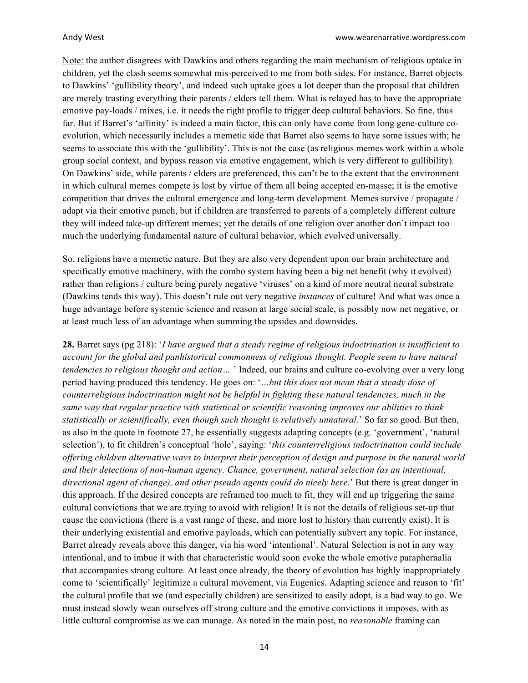Note: the author disagrees with Dawkins and others regarding the main mechanism of religious uptake in children, yet the clash seems somewhat mis-perceived to me from both sides. For instance, Barret objects to Dawkins' 'gullibility theory', and indeed such uptake goes a lot deeper than the proposal that children are merely trusting everything their parents / elders tell them. What is relayed has to have the appropriate emotive pay-loads / mixes, i.e. it needs the right profile to trigger deep cultural behaviors. So fine, thus far. But if Barret's 'affinity' is indeed a main factor, this can only have come from long gene-culture coevolution, which necessarily includes a memetic side that Barret also seems to have some issues with; he seems to associate this with the 'gullibility'. This is not the case (as religious memes work within a whole group social context, and bypass reason via emotive engagement, which is very different to gullibility). On Dawkins' side, while parents / elders are preferenced, this can't be to the extent that the environment in which cultural memes compete is lost by virtue of them all being accepted en-masse; it is the emotive competition that drives the cultural emergence and long-term development. Memes survive / propagate / adapt via their emotive punch, but if children are transferred to parents of a completely different culture they will indeed take-up different memes; yet the details of one religion over another don't impact too much the underlying fundamental nature of cultural behavior, which evolved universally.

So, religions have a memetic nature. But they are also very dependent upon our brain architecture and specifically emotive machinery, with the combo system having been a big net benefit (why it evolved) rather than religions / culture being purely negative 'viruses' on a kind of more neutral neural substrate (Dawkins tends this way). This doesn't rule out very negative *instances* of culture! And what was once a huge advantage before systemic science and reason at large social scale, is possibly now net negative, or at least much less of an advantage when summing the upsides and downsides.

**28.** Barret says (pg 218): '*I have argued that a steady regime of religious indoctrination is insufficient to account for the global and panhistorical commonness of religious thought. People seem to have natural tendencies to religious thought and action…* ' Indeed, our brains and culture co-evolving over a very long period having produced this tendency. He goes on: '*…but this does not mean that a steady dose of counterreligious indoctrination might not be helpful in fighting these natural tendencies, much in the same way that regular practice with statistical or scientific reasoning improves our abilities to think statistically or scientifically, even though such thought is relatively unnatural.*' So far so good. But then, as also in the quote in footnote 27, he essentially suggests adapting concepts (e.g. 'government', 'natural selection'), to fit children's conceptual 'hole', saying: '*this counterreligious indoctrination could include offering children alternative ways to interpret their perception of design and purpose in the natural world and their detections of non-human agency. Chance, government, natural selection (as an intentional, directional agent of change), and other pseudo agents could do nicely here.*' But there is great danger in this approach. If the desired concepts are reframed too much to fit, they will end up triggering the same cultural convictions that we are trying to avoid with religion! It is not the details of religious set-up that cause the convictions (there is a vast range of these, and more lost to history than currently exist). It is their underlying existential and emotive payloads, which can potentially subvert any topic. For instance, Barret already reveals above this danger, via his word 'intentional'. Natural Selection is not in any way intentional, and to imbue it with that characteristic would soon evoke the whole emotive paraphernalia that accompanies strong culture. At least once already, the theory of evolution has highly inappropriately come to 'scientifically' legitimize a cultural movement, via Eugenics. Adapting science and reason to 'fit' the cultural profile that we (and especially children) are sensitized to easily adopt, is a bad way to go. We must instead slowly wean ourselves off strong culture and the emotive convictions it imposes, with as little cultural compromise as we can manage. As noted in the main post, no *reasonable* framing can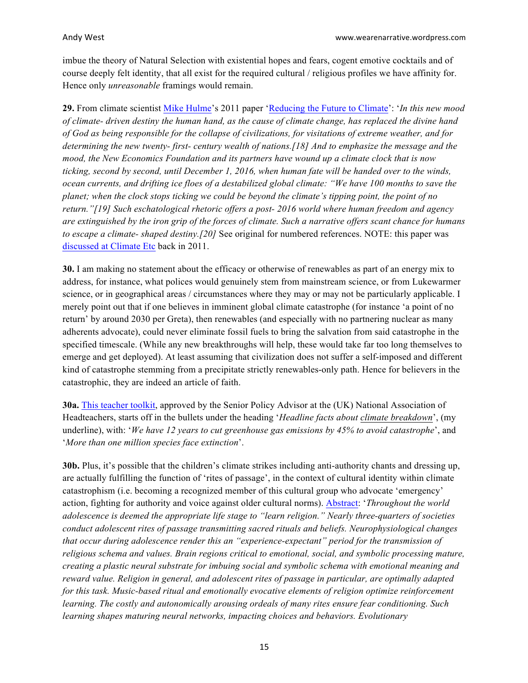imbue the theory of Natural Selection with existential hopes and fears, cogent emotive cocktails and of course deeply felt identity, that all exist for the required cultural / religious profiles we have affinity for. Hence only *unreasonable* framings would remain.

**29.** From climate scientist [Mike Hulme](https://en.wikipedia.org/wiki/Mike_Hulme)'s 2011 paper ['Reducing the Future to Climate](https://www.jstor.org/stable/10.1086/661274?seq=1#page_scan_tab_contents)': '*In this new mood of climate- driven destiny the human hand, as the cause of climate change, has replaced the divine hand of God as being responsible for the collapse of civilizations, for visitations of extreme weather, and for determining the new twenty- first- century wealth of nations.[18] And to emphasize the message and the mood, the New Economics Foundation and its partners have wound up a climate clock that is now ticking, second by second, until December 1, 2016, when human fate will be handed over to the winds, ocean currents, and drifting ice floes of a destabilized global climate: "We have 100 months to save the planet; when the clock stops ticking we could be beyond the climate's tipping point, the point of no return."[19] Such eschatological rhetoric offers a post- 2016 world where human freedom and agency are extinguished by the iron grip of the forces of climate. Such a narrative offers scant chance for humans to escape a climate- shaped destiny.[20]* See original for numbered references. NOTE: this paper was [discussed at Climate Etc](https://judithcurry.com/2011/12/26/reducing-the-future-to-climate/) back in 2011.

**30.** I am making no statement about the efficacy or otherwise of renewables as part of an energy mix to address, for instance, what polices would genuinely stem from mainstream science, or from Lukewarmer science, or in geographical areas / circumstances where they may or may not be particularly applicable. I merely point out that if one believes in imminent global climate catastrophe (for instance 'a point of no return' by around 2030 per Greta), then renewables (and especially with no partnering nuclear as many adherents advocate), could never eliminate fossil fuels to bring the salvation from said catastrophe in the specified timescale. (While any new breakthroughs will help, these would take far too long themselves to emerge and get deployed). At least assuming that civilization does not suffer a self-imposed and different kind of catastrophe stemming from a precipitate strictly renewables-only path. Hence for believers in the catastrophic, they are indeed an article of faith.

**30a.** [This teacher toolkit](https://www.iwill.org.uk/global-action-plan-climate-chaos-response-toolkit-for-schools), approved by the Senior Policy Advisor at the (UK) National Association of Headteachers, starts off in the bullets under the heading '*Headline facts about climate breakdown*', (my underline), with: '*We have 12 years to cut greenhouse gas emissions by 45% to avoid catastrophe*', and '*More than one million species face extinction*'.

**30b.** Plus, it's possible that the children's climate strikes including anti-authority chants and dressing up, are actually fulfilling the function of 'rites of passage', in the context of cultural identity within climate catastrophism (i.e. becoming a recognized member of this cultural group who advocate 'emergency' action, fighting for authority and voice against older cultural norms). [Abstract](https://www.oxfordhandbooks.com/view/10.1093/oxfordhb/9780199397747.001.0001/oxfordhb-9780199397747-e-14): '*Throughout the world adolescence is deemed the appropriate life stage to "learn religion." Nearly three-quarters of societies conduct adolescent rites of passage transmitting sacred rituals and beliefs. Neurophysiological changes that occur during adolescence render this an "experience-expectant" period for the transmission of religious schema and values. Brain regions critical to emotional, social, and symbolic processing mature, creating a plastic neural substrate for imbuing social and symbolic schema with emotional meaning and reward value. Religion in general, and adolescent rites of passage in particular, are optimally adapted for this task. Music-based ritual and emotionally evocative elements of religion optimize reinforcement learning. The costly and autonomically arousing ordeals of many rites ensure fear conditioning. Such learning shapes maturing neural networks, impacting choices and behaviors. Evolutionary*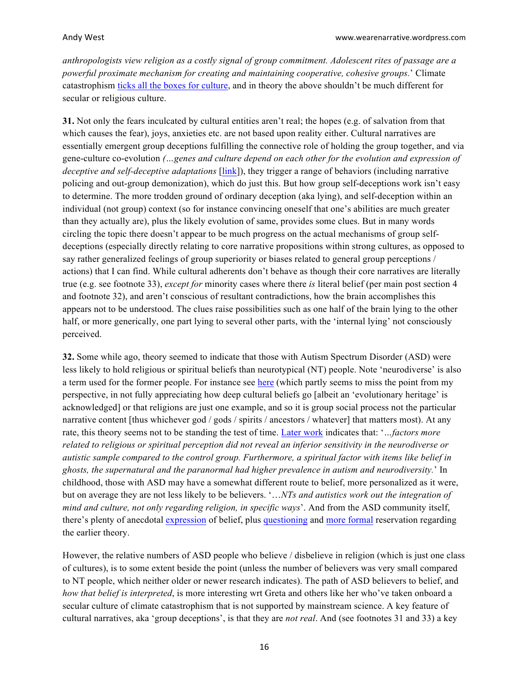*anthropologists view religion as a costly signal of group commitment. Adolescent rites of passage are a powerful proximate mechanism for creating and maintaining cooperative, cohesive groups.*' Climate catastrophism [ticks all the boxes for culture](https://judithcurry.com/2015/11/20/climate-culture/), and in theory the above shouldn't be much different for secular or religious culture.

**31.** Not only the fears inculcated by cultural entities aren't real; the hopes (e.g. of salvation from that which causes the fear), joys, anxieties etc. are not based upon reality either. Cultural narratives are essentially emergent group deceptions fulfilling the connective role of holding the group together, and via gene-culture co-evolution *(…genes and culture depend on each other for the evolution and expression of deceptive and self-deceptive adaptations* [\[link](https://www.cambridge.org/core/journals/behavioral-and-brain-sciences/article/culture-of-deception/EF581DC95A8A1636B975395E2BA41013)]), they trigger a range of behaviors (including narrative policing and out-group demonization), which do just this. But how group self-deceptions work isn't easy to determine. The more trodden ground of ordinary deception (aka lying), and self-deception within an individual (not group) context (so for instance convincing oneself that one's abilities are much greater than they actually are), plus the likely evolution of same, provides some clues. But in many words circling the topic there doesn't appear to be much progress on the actual mechanisms of group selfdeceptions (especially directly relating to core narrative propositions within strong cultures, as opposed to say rather generalized feelings of group superiority or biases related to general group perceptions / actions) that I can find. While cultural adherents don't behave as though their core narratives are literally true (e.g. see footnote 33), *except for* minority cases where there *is* literal belief (per main post section 4 and footnote 32), and aren't conscious of resultant contradictions, how the brain accomplishes this appears not to be understood. The clues raise possibilities such as one half of the brain lying to the other half, or more generically, one part lying to several other parts, with the 'internal lying' not consciously perceived.

**32.** Some while ago, theory seemed to indicate that those with Autism Spectrum Disorder (ASD) were less likely to hold religious or spiritual beliefs than neurotypical (NT) people. Note 'neurodiverse' is also a term used for the former people. For instance see [here](http://www.scienceandreligiontoday.com/2011/09/26/why-are-high-functioning-autistics-more-likely-to-be-atheists-or-agnostics/) (which partly seems to miss the point from my perspective, in not fully appreciating how deep cultural beliefs go [albeit an 'evolutionary heritage' is acknowledged] or that religions are just one example, and so it is group social process not the particular narrative content [thus whichever god / gods / spirits / ancestors / whatever] that matters most). At any rate, this theory seems not to be standing the test of time. [Later work](https://www.researchgate.net/publication/311900234_Religious_cognition_among_subjects_with_Autism_Spectrum_Disorder_ASD_Defective_or_different) indicates that: '*…factors more related to religious or spiritual perception did not reveal an inferior sensitivity in the neurodiverse or autistic sample compared to the control group. Furthermore, a spiritual factor with items like belief in ghosts, the supernatural and the paranormal had higher prevalence in autism and neurodiversity.*' In childhood, those with ASD may have a somewhat different route to belief, more personalized as it were, but on average they are not less likely to be believers. '…*NTs and autistics work out the integration of mind and culture, not only regarding religion, in specific ways*'. And from the ASD community itself, there's plenty of anecdotal [expression](https://autisticnotweird.com/religion/) of belief, plus [questioning](https://www.psychologytoday.com/us/blog/my-life-aspergers/201409/religion-and-autism-are-they-together-or-apart) and [more formal](https://academic.oup.com/jaar/article-abstract/85/3/653/2938656?redirectedFrom=fulltext) reservation regarding the earlier theory.

However, the relative numbers of ASD people who believe / disbelieve in religion (which is just one class of cultures), is to some extent beside the point (unless the number of believers was very small compared to NT people, which neither older or newer research indicates). The path of ASD believers to belief, and *how that belief is interpreted*, is more interesting wrt Greta and others like her who've taken onboard a secular culture of climate catastrophism that is not supported by mainstream science. A key feature of cultural narratives, aka 'group deceptions', is that they are *not real*. And (see footnotes 31 and 33) a key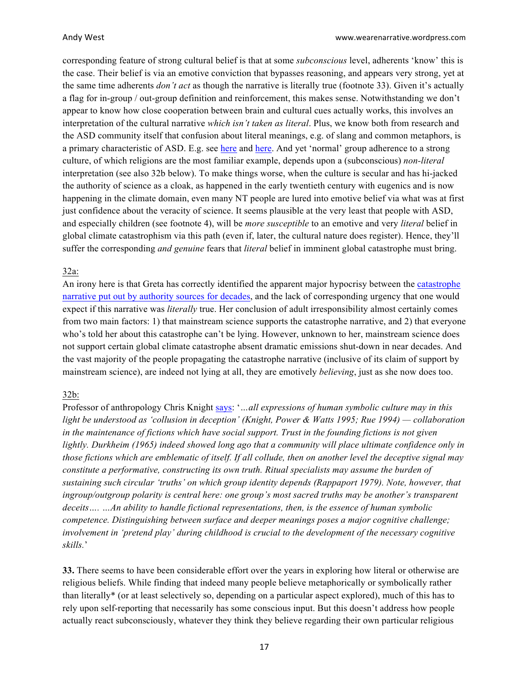corresponding feature of strong cultural belief is that at some *subconscious* level, adherents 'know' this is the case. Their belief is via an emotive conviction that bypasses reasoning, and appears very strong, yet at the same time adherents *don't act* as though the narrative is literally true (footnote 33). Given it's actually a flag for in-group / out-group definition and reinforcement, this makes sense. Notwithstanding we don't appear to know how close cooperation between brain and cultural cues actually works, this involves an interpretation of the cultural narrative *which isn't taken as literal*. Plus, we know both from research and the ASD community itself that confusion about literal meanings, e.g. of slang and common metaphors, is a primary characteristic of ASD. E.g. see [here](https://www.psychologytoday.com/us/blog/the-gift-aging/201304/people-autism-spectrum-disorder-take-things-literally) and [here](https://www.aspergerchild.com/aspergers-blog/literal-language-in-aspergers-syndrome). And yet 'normal' group adherence to a strong culture, of which religions are the most familiar example, depends upon a (subconscious) *non-literal*  interpretation (see also 32b below). To make things worse, when the culture is secular and has hi-jacked the authority of science as a cloak, as happened in the early twentieth century with eugenics and is now happening in the climate domain, even many NT people are lured into emotive belief via what was at first just confidence about the veracity of science. It seems plausible at the very least that people with ASD, and especially children (see footnote 4), will be *more susceptible* to an emotive and very *literal* belief in global climate catastrophism via this path (even if, later, the cultural nature does register). Hence, they'll suffer the corresponding *and genuine* fears that *literal* belief in imminent global catastrophe must bring.

### 32a:

An irony here is that Greta has correctly identified the apparent major hypocrisy between the [catastrophe](https://judithcurry.com/2018/11/14/the-catastrophe-narrative/) [narrative put out by authority sources for decades](https://judithcurry.com/2018/11/14/the-catastrophe-narrative/), and the lack of corresponding urgency that one would expect if this narrative was *literally* true. Her conclusion of adult irresponsibility almost certainly comes from two main factors: 1) that mainstream science supports the catastrophe narrative, and 2) that everyone who's told her about this catastrophe can't be lying. However, unknown to her, mainstream science does not support certain global climate catastrophe absent dramatic emissions shut-down in near decades. And the vast majority of the people propagating the catastrophe narrative (inclusive of its claim of support by mainstream science), are indeed not lying at all, they are emotively *believing*, just as she now does too.

### 32b:

Professor of anthropology Chris Knight [says](http://www.chrisknight.co.uk/wp-content/uploads/2007/09/knight_ritual_speech_coevolution.pdf): '*…all expressions of human symbolic culture may in this light be understood as 'collusion in deception' (Knight, Power & Watts 1995; Rue 1994) — collaboration in the maintenance of fictions which have social support. Trust in the founding fictions is not given lightly. Durkheim (1965) indeed showed long ago that a community will place ultimate confidence only in those fictions which are emblematic of itself. If all collude, then on another level the deceptive signal may constitute a performative, constructing its own truth. Ritual specialists may assume the burden of sustaining such circular 'truths' on which group identity depends (Rappaport 1979). Note, however, that ingroup/outgroup polarity is central here: one group's most sacred truths may be another's transparent deceits…. …An ability to handle fictional representations, then, is the essence of human symbolic competence. Distinguishing between surface and deeper meanings poses a major cognitive challenge; involvement in 'pretend play' during childhood is crucial to the development of the necessary cognitive skills.*'

**33.** There seems to have been considerable effort over the years in exploring how literal or otherwise are religious beliefs. While finding that indeed many people believe metaphorically or symbolically rather than literally\* (or at least selectively so, depending on a particular aspect explored), much of this has to rely upon self-reporting that necessarily has some conscious input. But this doesn't address how people actually react subconsciously, whatever they think they believe regarding their own particular religious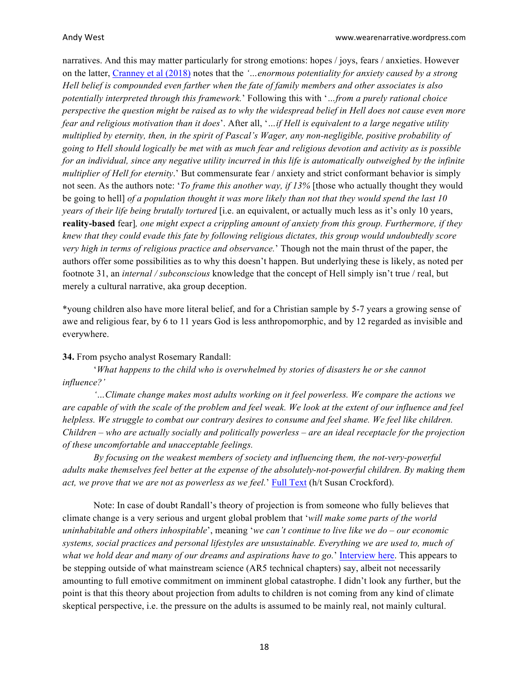narratives. And this may matter particularly for strong emotions: hopes / joys, fears / anxieties. However on the latter, [Cranney et al \(2018\)](https://www.tandfonline.com/doi/full/10.1080/13674676.2018.1443436) notes that the *'…enormous potentiality for anxiety caused by a strong Hell belief is compounded even farther when the fate of family members and other associates is also potentially interpreted through this framework.*' Following this with '*…from a purely rational choice perspective the question might be raised as to why the widespread belief in Hell does not cause even more fear and religious motivation than it does*'. After all, '*…if Hell is equivalent to a large negative utility multiplied by eternity, then, in the spirit of Pascal's Wager, any non-negligible, positive probability of going to Hell should logically be met with as much fear and religious devotion and activity as is possible for an individual, since any negative utility incurred in this life is automatically outweighed by the infinite multiplier of Hell for eternity*.' But commensurate fear / anxiety and strict conformant behavior is simply not seen. As the authors note: '*To frame this another way, if 13%* [those who actually thought they would be going to hell] *of a population thought it was more likely than not that they would spend the last 10 years of their life being brutally tortured* [i.e. an equivalent, or actually much less as it's only 10 years, **reality-based** fear]*, one might expect a crippling amount of anxiety from this group. Furthermore, if they knew that they could evade this fate by following religious dictates, this group would undoubtedly score very high in terms of religious practice and observance.*' Though not the main thrust of the paper, the authors offer some possibilities as to why this doesn't happen. But underlying these is likely, as noted per footnote 31, an *internal / subconscious* knowledge that the concept of Hell simply isn't true / real, but merely a cultural narrative, aka group deception.

\*young children also have more literal belief, and for a Christian sample by 5-7 years a growing sense of awe and religious fear, by 6 to 11 years God is less anthropomorphic, and by 12 regarded as invisible and everywhere.

### **34.** From psycho analyst Rosemary Randall:

'*What happens to the child who is overwhelmed by stories of disasters he or she cannot influence?'*

*'…Climate change makes most adults working on it feel powerless. We compare the actions we are capable of with the scale of the problem and feel weak. We look at the extent of our influence and feel helpless. We struggle to combat our contrary desires to consume and feel shame. We feel like children. Children – who are actually socially and politically powerless – are an ideal receptacle for the projection of these uncomfortable and unacceptable feelings.*

*By focusing on the weakest members of society and influencing them, the not-very-powerful adults make themselves feel better at the expense of the absolutely-not-powerful children. By making them act, we prove that we are not as powerless as we feel.*' [Full Text](https://rorandall.org/2011/03/23/should-we-be-working-with-children-about-climate-change/) (h/t Susan Crockford).

Note: In case of doubt Randall's theory of projection is from someone who fully believes that climate change is a very serious and urgent global problem that '*will make some parts of the world uninhabitable and others inhospitable*', meaning '*we can't continue to live like we do – our economic systems, social practices and personal lifestyles are unsustainable. Everything we are used to, much of what we hold dear and many of our dreams and aspirations have to go.*' [Interview here](https://manchesterclimatemonthly.net/interviews/interview-with-rosemary-randall-on-psycho-analysis-and-climate-change/). This appears to be stepping outside of what mainstream science (AR5 technical chapters) say, albeit not necessarily amounting to full emotive commitment on imminent global catastrophe. I didn't look any further, but the point is that this theory about projection from adults to children is not coming from any kind of climate skeptical perspective, i.e. the pressure on the adults is assumed to be mainly real, not mainly cultural.